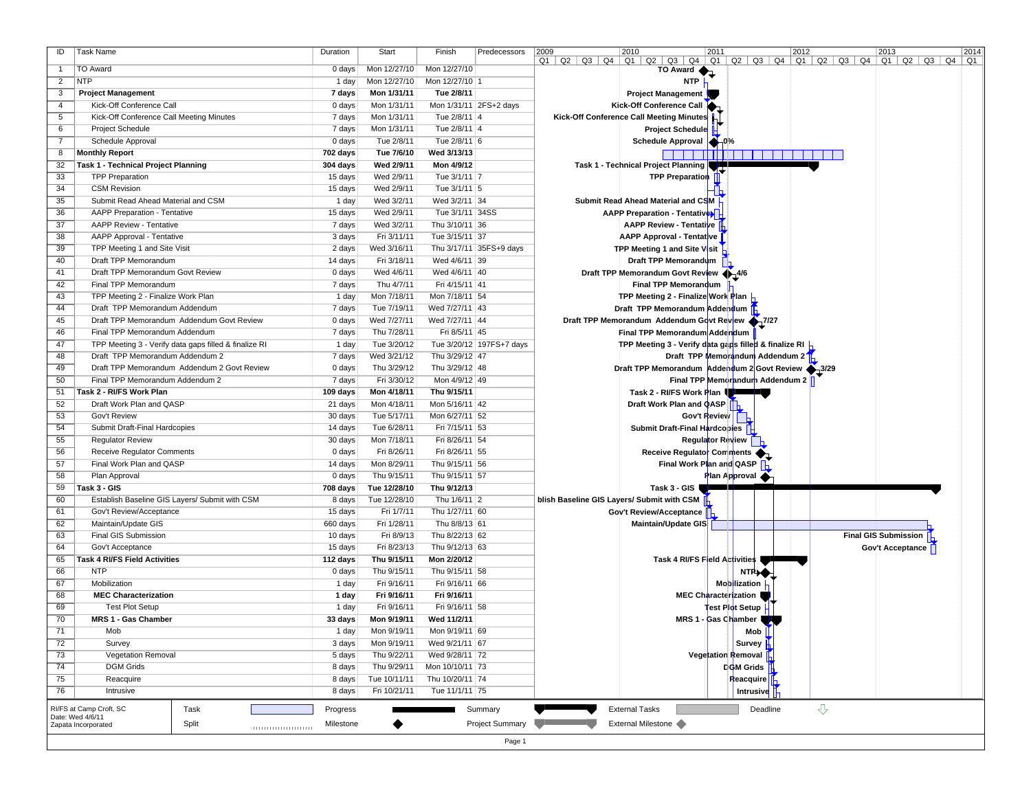| ID              | <b>Task Name</b>                                      | Duration  | Start        | Finish          | Predecessors               | 2009<br>2010<br>2011<br>2012<br>2014<br>2013                                                                                                                 |
|-----------------|-------------------------------------------------------|-----------|--------------|-----------------|----------------------------|--------------------------------------------------------------------------------------------------------------------------------------------------------------|
| $\overline{1}$  | <b>TO Award</b>                                       | 0 days    | Mon 12/27/10 | Mon 12/27/10    |                            | $Q1$   $Q2$   $Q3$   $Q4$   $Q1$   $Q2$   $Q3$   $Q4$   $Q1$   $Q2$   $Q3$   $Q4$   $Q1$   $Q2$   $Q3$   $Q4$   $Q1$   $Q2$   $Q3$   $Q4$   $Q1$<br>TO Award |
| $\overline{2}$  | <b>NTP</b>                                            | 1 day     | Mon 12/27/10 | Mon 12/27/10 1  |                            | <b>NTP</b>                                                                                                                                                   |
| 3               | <b>Project Management</b>                             | 7 days    | Mon 1/31/11  | Tue 2/8/11      |                            | <b>Project Management</b>                                                                                                                                    |
| 4               | Kick-Off Conference Call                              | 0 days    | Mon 1/31/11  |                 | Mon 1/31/11 2FS+2 days     | Kick-Off Conference Call                                                                                                                                     |
| 5               | Kick-Off Conference Call Meeting Minutes              | 7 days    | Mon 1/31/11  | Tue 2/8/11 4    |                            | Kick-Off Conference Call Meeting Minutes                                                                                                                     |
| 6               | <b>Project Schedule</b>                               | 7 days    | Mon 1/31/11  | Tue 2/8/11 4    |                            | <b>Project Schedule</b>                                                                                                                                      |
|                 |                                                       |           |              |                 |                            |                                                                                                                                                              |
| $\overline{7}$  | Schedule Approval                                     | 0 days    | Tue 2/8/11   | Tue 2/8/11 6    |                            | Schedule Approval   16%                                                                                                                                      |
| 8               | <b>Monthly Report</b>                                 | 702 days  | Tue 7/6/10   | Wed 3/13/13     |                            | <b>Billi</b>                                                                                                                                                 |
| 32              | Task 1 - Technical Project Planning                   | 304 days  | Wed 2/9/11   | Mon 4/9/12      |                            | Task 1 - Technical Project Planning                                                                                                                          |
| 33              | <b>TPP Preparation</b>                                | 15 days   | Wed 2/9/11   | Tue 3/1/11 7    |                            | <b>TPP Preparation</b>                                                                                                                                       |
| 34              | <b>CSM Revision</b>                                   | 15 days   | Wed 2/9/11   | Tue 3/1/11 5    |                            |                                                                                                                                                              |
| 35              | Submit Read Ahead Material and CSM                    | 1 day     | Wed 3/2/11   | Wed 3/2/11 34   |                            | Submit Read Ahead Material and CSM                                                                                                                           |
| 36              | <b>AAPP Preparation - Tentative</b>                   | 15 days   | Wed 2/9/11   | Tue 3/1/11 34SS |                            | <b>AAPP Preparation - Tentatives</b>                                                                                                                         |
| $\overline{37}$ | AAPP Review - Tentative                               | 7 days    | Wed 3/2/11   | Thu 3/10/11 36  |                            | <b>AAPP Review - Tentative</b>                                                                                                                               |
| 38              | AAPP Approval - Tentative                             | 3 days    | Fri 3/11/11  | Tue 3/15/11 37  |                            | AAPP Approval - Tentative                                                                                                                                    |
| 39              | TPP Meeting 1 and Site Visit                          | 2 days    | Wed 3/16/11  |                 | Thu 3/17/11 35FS+9 days    | TPP Meeting 1 and Site Visit                                                                                                                                 |
| 40              | Draft TPP Memorandum                                  | 14 days   | Fri 3/18/11  | Wed 4/6/11 39   |                            | Draft TPP Memorandum                                                                                                                                         |
| 41              | Draft TPP Memorandum Govt Review                      | 0 days    | Wed 4/6/11   | Wed 4/6/11 40   |                            | Draft TPP Memorandum Govt Review + 4/6                                                                                                                       |
| 42              | Final TPP Memorandum                                  | 7 days    | Thu 4/7/11   | Fri 4/15/11 41  |                            | Final TPP Memorandum                                                                                                                                         |
| 43              | TPP Meeting 2 - Finalize Work Plan                    | 1 day     | Mon 7/18/11  | Mon 7/18/11 54  |                            | TPP Meeting 2 - Finalize Work Plan                                                                                                                           |
| 44              | Draft TPP Memorandum Addendum                         | 7 days    | Tue 7/19/11  | Wed 7/27/11 43  |                            | Draft TPP Memorandum Addendum                                                                                                                                |
| 45              | Draft TPP Memorandum Addendum Govt Review             | 0 days    | Wed 7/27/11  | Wed 7/27/11 44  |                            | Draft TPP Memorandum Addendum Govt Review 17/27                                                                                                              |
| 46              | Final TPP Memorandum Addendum                         | 7 days    | Thu 7/28/11  | Fri 8/5/11 45   |                            | Final TPP Memorandum Addendum                                                                                                                                |
| 47              | TPP Meeting 3 - Verify data gaps filled & finalize RI | 1 day     | Tue 3/20/12  |                 | Tue 3/20/12   197FS+7 days | TPP Meeting 3 - Verify data gaps filled & finalize RI  -                                                                                                     |
| 48              | Draft TPP Memorandum Addendum 2                       | 7 days    | Wed 3/21/12  | Thu 3/29/12 47  |                            | Draft TPP Memorandum Addendum 2 <sup>T</sup> h                                                                                                               |
| 49              | Draft TPP Memorandum Addendum 2 Govt Review           | 0 days    | Thu 3/29/12  | Thu 3/29/12 48  |                            | Draft TPP Memorandum Addendum 2 Govt Review 1/3/29                                                                                                           |
| 50              | Final TPP Memorandum Addendum 2                       | 7 days    | Fri 3/30/12  | Mon 4/9/12 49   |                            | Final TPP Memorandum Addendum 2                                                                                                                              |
| 51              | Task 2 - RI/FS Work Plan                              | 109 days  | Mon 4/18/11  | Thu 9/15/11     |                            | Task 2 - RI/FS Work Plan                                                                                                                                     |
| 52              | Draft Work Plan and QASP                              | 21 days   | Mon 4/18/11  | Mon 5/16/11 42  |                            | Draft Work Plan and QASP                                                                                                                                     |
| 53              | Gov't Review                                          | 30 days   | Tue 5/17/11  | Mon 6/27/11 52  |                            | Gov't Review                                                                                                                                                 |
| 54              | Submit Draft-Final Hardcopies                         | 14 days   | Tue 6/28/11  | Fri 7/15/11 53  |                            | Submit Draft-Final Hardcobles                                                                                                                                |
| 55              | <b>Regulator Review</b>                               | 30 days   | Mon 7/18/11  | Fri 8/26/11 54  |                            | Regulator Review                                                                                                                                             |
| 56              | <b>Receive Regulator Comments</b>                     | $0$ days  | Fri 8/26/11  | Fri 8/26/11 55  |                            | Receive Regulator Comments                                                                                                                                   |
| 57              | Final Work Plan and QASP                              | 14 days   | Mon 8/29/11  | Thu 9/15/11 56  |                            | Final Work Plan and QASP                                                                                                                                     |
| 58              | Plan Approval                                         | 0 days    | Thu 9/15/11  | Thu 9/15/11 57  |                            | Plan Approval                                                                                                                                                |
| 59              | Task 3 - GIS                                          | 708 days  | Tue 12/28/10 | Thu 9/12/13     |                            | Task 3 - GIS                                                                                                                                                 |
| 60              | Establish Baseline GIS Layers/ Submit with CSM        | 8 days    | Tue 12/28/10 | Thu 1/6/11 2    |                            | blish Baseline GIS Layers/ Submit with CSM                                                                                                                   |
| 61              | Gov't Review/Acceptance                               | 15 days   | Fri 1/7/11   | Thu 1/27/11 60  |                            | Gov't Review/Acceptance                                                                                                                                      |
| 62              | Maintain/Update GIS                                   | 660 days  | Fri 1/28/11  | Thu 8/8/13 61   |                            | Maintain/Update GIS                                                                                                                                          |
| 63              | Final GIS Submission                                  | 10 days   | Fri 8/9/13   | Thu 8/22/13 62  |                            | Final GIS Submission <b>A</b>                                                                                                                                |
| 64              | Gov't Acceptance                                      | 15 days   | Fri 8/23/13  | Thu 9/12/13 63  |                            | Gov't Acceptance                                                                                                                                             |
| 65              | Task 4 RI/FS Field Activities                         | 112 days  | Thu 9/15/11  | Mon 2/20/12     |                            | Task 4 RI/FS Field Activities                                                                                                                                |
| 66              | <b>NTP</b>                                            | 0 days    | Thu 9/15/11  | Thu 9/15/11 58  |                            | <b>NTPLO</b>                                                                                                                                                 |
| 67              | Mobilization                                          | 1 day     | Fri 9/16/11  | Fri 9/16/11 66  |                            | Mobilization                                                                                                                                                 |
| 68              | <b>MEC Characterization</b>                           | 1 day     | Fri 9/16/11  | Fri 9/16/11     |                            | MEC Characterization                                                                                                                                         |
| 69              | <b>Test Plot Setup</b>                                | 1 day     | Fri 9/16/11  | Fri 9/16/11 58  |                            | iest Plot Setup                                                                                                                                              |
| 70              | MRS 1 - Gas Chamber                                   | 33 days   | Mon 9/19/11  | Wed 11/2/11     |                            | MRS 1 - Gas Chamber                                                                                                                                          |
| 71              | Mob                                                   | 1 day     | Mon 9/19/11  | Mon 9/19/11 69  |                            | Mob                                                                                                                                                          |
| 72              | Survey                                                | 3 days    | Mon 9/19/11  | Wed 9/21/11 67  |                            | Survey H                                                                                                                                                     |
| 73              | <b>Vegetation Removal</b>                             | 5 days    | Thu 9/22/11  | Wed 9/28/11 72  |                            | Vegetation Removal                                                                                                                                           |
| 74              | <b>DGM Grids</b>                                      | 8 days    | Thu 9/29/11  | Mon 10/10/11 73 |                            | <b>COM</b> Grids                                                                                                                                             |
| 75              | Reacquire                                             | 8 days    | Tue 10/11/11 | Thu 10/20/11 74 |                            | <b>Reacquire</b>                                                                                                                                             |
| 76              | Intrusive                                             | 8 days    | Fri 10/21/11 | Tue 11/1/11 75  |                            | Intrusive                                                                                                                                                    |
|                 | Task<br>RI/FS at Camp Croft, SC                       | Progress  |              |                 | Summary                    | $\overline{\mathrm{G}}$<br><b>External Tasks</b><br>Deadline                                                                                                 |
|                 | Date: Wed 4/6/11                                      |           |              |                 | Project Summary            | External Milestone                                                                                                                                           |
|                 | Split<br>Zapata Incorporated                          | Milestone |              |                 |                            |                                                                                                                                                              |
|                 |                                                       |           |              |                 | Page 1                     |                                                                                                                                                              |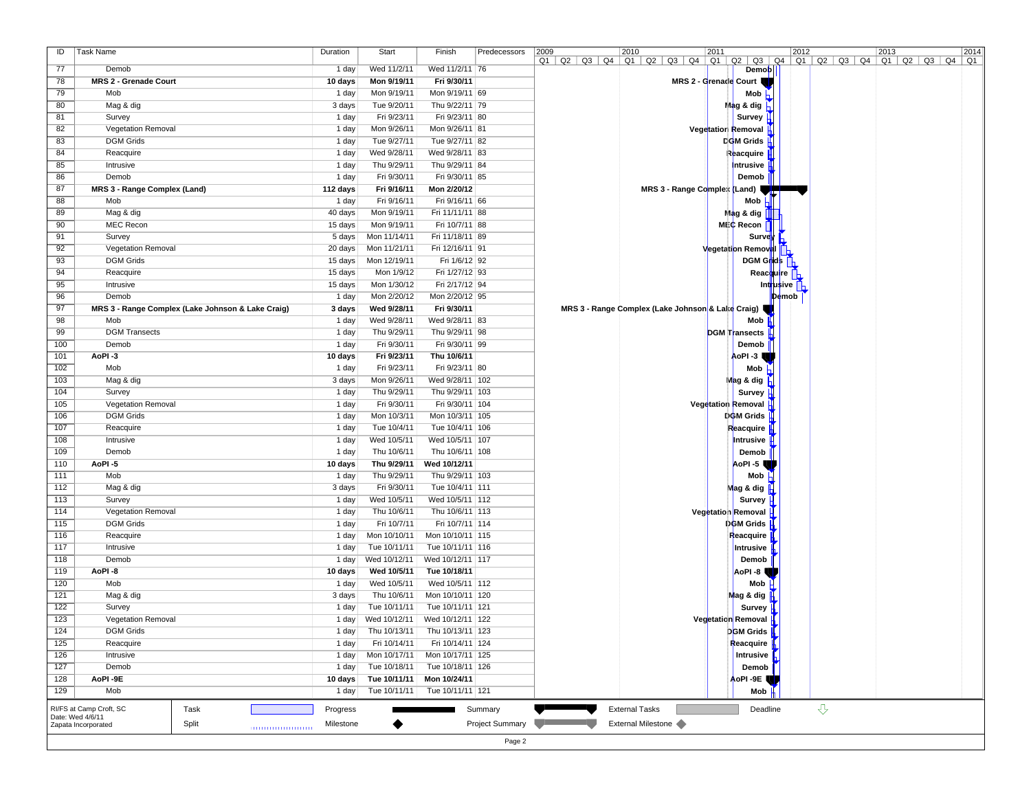| $Q1$   $Q2$   $Q3$   $Q4$   $Q1$   $Q2$   $Q3$   $Q4$   $Q1$   $Q2$   $Q3$   $Q4$   $Q1$   $Q2$   $Q3$   $Q4$   $Q1$   $Q2$   $Q3$   $Q4$   $Q1$<br>77<br>Wed 11/2/11<br>Wed 11/2/11 76<br>Demob<br>Demob<br>1 day<br>78<br><b>MRS 2 - Grenade Court</b><br>Mon 9/19/11<br>Fri 9/30/11<br>10 days<br>MRS 2 - Grenade Court<br>Mob $\overline{h}$<br>79<br>Mob<br>1 day<br>Mon 9/19/11<br>Mon 9/19/11 69<br>80<br>Mag & dig<br>3 days<br>Tue 9/20/11<br>Thu 9/22/11 79<br>$\blacksquare$ ag & dig $\blacksquare$<br>Fri 9/23/11<br>Survey $\parallel$<br>81<br>Survey<br>1 day<br>Fri 9/23/11 80<br>82<br>Mon 9/26/11<br>Vegetatior Removal<br><b>Vegetation Removal</b><br>1 day<br>Mon 9/26/11 81<br><b>DGM</b> Grids<br>83<br><b>DGM Grids</b><br>1 day<br>Tue 9/27/11<br>Tue 9/27/11 82<br>84<br>Reacquire<br>Wed 9/28/11<br>1 day<br>Wed 9/28/11 83<br>Reacquire H<br>Intrusive<br>85<br>Intrusive<br>Thu 9/29/11<br>Thu 9/29/11 84<br>1 day<br>86<br>Demob<br>Fri 9/30/11<br>Fri 9/30/11 85<br>1 day<br>Demob<br>87<br>Fri 9/16/11<br>Mon 2/20/12<br>MRS 3 - Range Comples (Land)<br>MRS 3 - Range Complex (Land)<br>112 days<br>88<br>Mob<br>1 day<br>Fri 9/16/11<br>Fri 9/16/11 66<br>Mob<br>89<br>Mag & dig<br>Mon 9/19/11<br>40 days<br>Fri 11/11/11 88<br>Ma¦g&dig <mark>∣</mark><br>90<br><b>MEC Recon</b><br>MEC Recon<br>15 days<br>Mon 9/19/11<br>Fri 10/7/11 88<br>91<br>Survey<br>Survey<br>5 days<br>Mon 11/14/11<br>Fri 11/18/11 89<br>92<br><b>Vegetation Removal</b><br>20 days<br>Mon 11/21/11<br>Fri 12/16/11 91<br><b>Vegetation Removal</b><br><b>DGM Grids</b><br>93<br><b>DGM Grids</b><br>15 days<br>Mon 12/19/11<br>Fri 1/6/12 92<br>94<br>Reacquire<br>15 days<br>Mon 1/9/12<br>Fri 1/27/12 93<br>Reac <mark>q</mark> uire<br>95<br>Int <mark>r</mark> usive<br>Intrusive<br>15 days<br>Mon 1/30/12<br>Fri 2/17/12 94<br>96<br>Demob<br>1 day<br>Mon 2/20/12<br>Mon 2/20/12 95<br>$\mathbf{p}_{\mathbf{e}}$ mob<br>97<br>Wed 9/28/11<br>MRS 3 - Range Complex (Lake Johnson & Lake Craig)<br>MRS 3 - Range Complex (Lake Johnson & Lake Craig)<br>3 days<br>Fri 9/30/11<br>98<br>Mob<br>Mob<br>1 day<br>Wed 9/28/11<br>Wed 9/28/11 83<br>DGM Transects H<br>99<br><b>DGM Transects</b><br>Thu 9/29/11<br>1 day<br>Thu 9/29/11 98<br>100<br>Demob<br>Fri 9/30/11<br>Demob<br>1 day<br>Fri 9/30/11 99<br>AoPI -3<br>101<br>AoPI-3<br>Fri 9/23/11<br>Thu 10/6/11<br>10 days<br>102<br>Mob<br>1 day<br>Fri 9/23/11<br>Fri 9/23/11 80<br>Mob $\vdash$<br>103<br>Mon 9/26/11<br>M <mark>ag &amp; dig  </mark><br>Mag & dig<br>3 days<br>Wed 9/28/11   102<br>104<br>Survey<br>Thu 9/29/11<br>Survey H<br>1 day<br>Thu 9/29/11   103<br>Vegetation Removal<br>105<br>Vegetation Removal<br>Fri 9/30/11<br>1 day<br>Fri 9/30/11 104<br>106<br><b>DGM Grids</b><br><b>DCM Grids</b><br>1 day<br>Mon 10/3/11<br>Mon 10/3/11 105<br>107<br>Reacquire<br>Reacquire<br>1 day<br>Tue 10/4/11<br>Tue 10/4/11   106<br>108<br>Intrusive<br>1 day<br>Wed 10/5/11<br>Wed 10/5/11   107<br>Intrusive $\mathbf \mu$<br>109<br>Demob<br>Demob<br>1 day<br>Thu 10/6/11<br>Thu 10/6/11   108<br>110<br>AoPI-5<br>10 days<br>Thu 9/29/11<br>Wed 10/12/11<br>AoPI-5<br>Mob<br>111<br>Mob<br>1 day<br>Thu 9/29/11<br>Thu 9/29/11   103<br>112<br>Fri 9/30/11<br>Mag & dig<br>3 days<br>Tue 10/4/11   111<br>Mag & dig<br>Survey H<br>113<br>Survey<br>1 day<br>Wed 10/5/11<br>Wed 10/5/11   112<br>114<br>Vegetation Removal<br><b>Vegetation Removal</b><br>1 day<br>Thu 10/6/11<br>Thu 10/6/11   113<br><b>DGM Grids</b><br>115<br><b>DGM Grids</b><br>Fri 10/7/11<br>Fri 10/7/11 114<br>1 day<br>116<br>Reacquire<br>Mon 10/10/11<br>Reacquire<br>1 day<br>Mon 10/10/11 115<br>117<br>Intrusive<br>Tue 10/11/11<br>Intrusive  <br>1 day<br>Tue 10/11/11   116<br>118<br>Demob<br>Wed 10/12/11<br>1 day<br>Wed 10/12/11   117<br>Demob<br>119<br>AoPI-8<br>AoPI-8<br>10 days<br>Wed 10/5/11<br>Tue 10/18/11<br>120<br>Mob<br>1 day<br>Wed 10/5/11<br>Wed 10/5/11   112<br>Mob $\mathsf{H}$<br>121<br>Mag & dig<br>Mag & dig<br>3 days<br>Thu 10/6/11<br>Mon 10/10/11 120<br>122<br>Survey<br>1 day<br>Tue 10/11/11<br>Tue 10/11/11   121<br>Survey<br>123<br>Vegetation Removal<br>Wed 10/12/11 Wed 10/12/11 122<br>Vegetation Removal I<br>$1$ day<br>124<br><b>DGM Grids</b><br>1 day<br>Thu 10/13/11<br>Thu 10/13/11   123<br>DGM Grids <u>∭</u><br>Reacquire $\parallel$<br>125<br>Fri 10/14/11<br>Reacquire<br>1 day<br>Fri 10/14/11 124<br>126<br>Mon 10/17/11 125<br>Intrusive $\mathbb F$<br>Intrusive<br>1 day<br>Mon 10/17/11<br>127<br>Demob<br>1 day<br>Tue 10/18/11<br>Tue 10/18/11   126<br>Demob<br>128<br>AoPI-9E<br>10 days<br>Tue 10/11/11<br>Mon 10/24/11<br>AoPI-9E<br>Mob<br>129<br>Mob<br>1 day<br>Tue 10/11/11<br>Tue 10/11/11   121<br>$\overline{v}$<br>Summary<br><b>External Tasks</b><br>RI/FS at Camp Croft, SC<br>Task<br>Progress<br>Deadline<br>Date: Wed 4/6/11<br>Project Summary<br>External Milestone<br>Split<br>Zapata Incorporated<br>Milestone | ID | Task Name | Duration | Start | Finish | Predecessors | 2009<br>2010<br>2011<br>2012<br>2013<br>2014 |
|---------------------------------------------------------------------------------------------------------------------------------------------------------------------------------------------------------------------------------------------------------------------------------------------------------------------------------------------------------------------------------------------------------------------------------------------------------------------------------------------------------------------------------------------------------------------------------------------------------------------------------------------------------------------------------------------------------------------------------------------------------------------------------------------------------------------------------------------------------------------------------------------------------------------------------------------------------------------------------------------------------------------------------------------------------------------------------------------------------------------------------------------------------------------------------------------------------------------------------------------------------------------------------------------------------------------------------------------------------------------------------------------------------------------------------------------------------------------------------------------------------------------------------------------------------------------------------------------------------------------------------------------------------------------------------------------------------------------------------------------------------------------------------------------------------------------------------------------------------------------------------------------------------------------------------------------------------------------------------------------------------------------------------------------------------------------------------------------------------------------------------------------------------------------------------------------------------------------------------------------------------------------------------------------------------------------------------------------------------------------------------------------------------------------------------------------------------------------------------------------------------------------------------------------------------------------------------------------------------------------------------------------------------------------------------------------------------------------------------------------------------------------------------------------------------------------------------------------------------------------------------------------------------------------------------------------------------------------------------------------------------------------------------------------------------------------------------------------------------------------------------------------------------------------------------------------------------------------------------------------------------------------------------------------------------------------------------------------------------------------------------------------------------------------------------------------------------------------------------------------------------------------------------------------------------------------------------------------------------------------------------------------------------------------------------------------------------------------------------------------------------------------------------------------------------------------------------------------------------------------------------------------------------------------------------------------------------------------------------------------------------------------------------------------------------------------------------------------------------------------------------------------------------------------------------------------------------------------------------------------------------------------------------------------------------------------------------------------------------------------------------------------------------------------------------------------------------------------------------------------------------------------------------------------------------------------------------------------------------------------------------------------------------------------------------------------------------------------------------------------------------------------------------------------------------------------------------------------------------------------------------------------------------------------------------------------------------------------------------------------|----|-----------|----------|-------|--------|--------------|----------------------------------------------|
|                                                                                                                                                                                                                                                                                                                                                                                                                                                                                                                                                                                                                                                                                                                                                                                                                                                                                                                                                                                                                                                                                                                                                                                                                                                                                                                                                                                                                                                                                                                                                                                                                                                                                                                                                                                                                                                                                                                                                                                                                                                                                                                                                                                                                                                                                                                                                                                                                                                                                                                                                                                                                                                                                                                                                                                                                                                                                                                                                                                                                                                                                                                                                                                                                                                                                                                                                                                                                                                                                                                                                                                                                                                                                                                                                                                                                                                                                                                                                                                                                                                                                                                                                                                                                                                                                                                                                                                                                                                                                                                                                                                                                                                                                                                                                                                                                                                                                                                                                                                             |    |           |          |       |        |              |                                              |
|                                                                                                                                                                                                                                                                                                                                                                                                                                                                                                                                                                                                                                                                                                                                                                                                                                                                                                                                                                                                                                                                                                                                                                                                                                                                                                                                                                                                                                                                                                                                                                                                                                                                                                                                                                                                                                                                                                                                                                                                                                                                                                                                                                                                                                                                                                                                                                                                                                                                                                                                                                                                                                                                                                                                                                                                                                                                                                                                                                                                                                                                                                                                                                                                                                                                                                                                                                                                                                                                                                                                                                                                                                                                                                                                                                                                                                                                                                                                                                                                                                                                                                                                                                                                                                                                                                                                                                                                                                                                                                                                                                                                                                                                                                                                                                                                                                                                                                                                                                                             |    |           |          |       |        |              |                                              |
|                                                                                                                                                                                                                                                                                                                                                                                                                                                                                                                                                                                                                                                                                                                                                                                                                                                                                                                                                                                                                                                                                                                                                                                                                                                                                                                                                                                                                                                                                                                                                                                                                                                                                                                                                                                                                                                                                                                                                                                                                                                                                                                                                                                                                                                                                                                                                                                                                                                                                                                                                                                                                                                                                                                                                                                                                                                                                                                                                                                                                                                                                                                                                                                                                                                                                                                                                                                                                                                                                                                                                                                                                                                                                                                                                                                                                                                                                                                                                                                                                                                                                                                                                                                                                                                                                                                                                                                                                                                                                                                                                                                                                                                                                                                                                                                                                                                                                                                                                                                             |    |           |          |       |        |              |                                              |
|                                                                                                                                                                                                                                                                                                                                                                                                                                                                                                                                                                                                                                                                                                                                                                                                                                                                                                                                                                                                                                                                                                                                                                                                                                                                                                                                                                                                                                                                                                                                                                                                                                                                                                                                                                                                                                                                                                                                                                                                                                                                                                                                                                                                                                                                                                                                                                                                                                                                                                                                                                                                                                                                                                                                                                                                                                                                                                                                                                                                                                                                                                                                                                                                                                                                                                                                                                                                                                                                                                                                                                                                                                                                                                                                                                                                                                                                                                                                                                                                                                                                                                                                                                                                                                                                                                                                                                                                                                                                                                                                                                                                                                                                                                                                                                                                                                                                                                                                                                                             |    |           |          |       |        |              |                                              |
|                                                                                                                                                                                                                                                                                                                                                                                                                                                                                                                                                                                                                                                                                                                                                                                                                                                                                                                                                                                                                                                                                                                                                                                                                                                                                                                                                                                                                                                                                                                                                                                                                                                                                                                                                                                                                                                                                                                                                                                                                                                                                                                                                                                                                                                                                                                                                                                                                                                                                                                                                                                                                                                                                                                                                                                                                                                                                                                                                                                                                                                                                                                                                                                                                                                                                                                                                                                                                                                                                                                                                                                                                                                                                                                                                                                                                                                                                                                                                                                                                                                                                                                                                                                                                                                                                                                                                                                                                                                                                                                                                                                                                                                                                                                                                                                                                                                                                                                                                                                             |    |           |          |       |        |              |                                              |
|                                                                                                                                                                                                                                                                                                                                                                                                                                                                                                                                                                                                                                                                                                                                                                                                                                                                                                                                                                                                                                                                                                                                                                                                                                                                                                                                                                                                                                                                                                                                                                                                                                                                                                                                                                                                                                                                                                                                                                                                                                                                                                                                                                                                                                                                                                                                                                                                                                                                                                                                                                                                                                                                                                                                                                                                                                                                                                                                                                                                                                                                                                                                                                                                                                                                                                                                                                                                                                                                                                                                                                                                                                                                                                                                                                                                                                                                                                                                                                                                                                                                                                                                                                                                                                                                                                                                                                                                                                                                                                                                                                                                                                                                                                                                                                                                                                                                                                                                                                                             |    |           |          |       |        |              |                                              |
|                                                                                                                                                                                                                                                                                                                                                                                                                                                                                                                                                                                                                                                                                                                                                                                                                                                                                                                                                                                                                                                                                                                                                                                                                                                                                                                                                                                                                                                                                                                                                                                                                                                                                                                                                                                                                                                                                                                                                                                                                                                                                                                                                                                                                                                                                                                                                                                                                                                                                                                                                                                                                                                                                                                                                                                                                                                                                                                                                                                                                                                                                                                                                                                                                                                                                                                                                                                                                                                                                                                                                                                                                                                                                                                                                                                                                                                                                                                                                                                                                                                                                                                                                                                                                                                                                                                                                                                                                                                                                                                                                                                                                                                                                                                                                                                                                                                                                                                                                                                             |    |           |          |       |        |              |                                              |
|                                                                                                                                                                                                                                                                                                                                                                                                                                                                                                                                                                                                                                                                                                                                                                                                                                                                                                                                                                                                                                                                                                                                                                                                                                                                                                                                                                                                                                                                                                                                                                                                                                                                                                                                                                                                                                                                                                                                                                                                                                                                                                                                                                                                                                                                                                                                                                                                                                                                                                                                                                                                                                                                                                                                                                                                                                                                                                                                                                                                                                                                                                                                                                                                                                                                                                                                                                                                                                                                                                                                                                                                                                                                                                                                                                                                                                                                                                                                                                                                                                                                                                                                                                                                                                                                                                                                                                                                                                                                                                                                                                                                                                                                                                                                                                                                                                                                                                                                                                                             |    |           |          |       |        |              |                                              |
|                                                                                                                                                                                                                                                                                                                                                                                                                                                                                                                                                                                                                                                                                                                                                                                                                                                                                                                                                                                                                                                                                                                                                                                                                                                                                                                                                                                                                                                                                                                                                                                                                                                                                                                                                                                                                                                                                                                                                                                                                                                                                                                                                                                                                                                                                                                                                                                                                                                                                                                                                                                                                                                                                                                                                                                                                                                                                                                                                                                                                                                                                                                                                                                                                                                                                                                                                                                                                                                                                                                                                                                                                                                                                                                                                                                                                                                                                                                                                                                                                                                                                                                                                                                                                                                                                                                                                                                                                                                                                                                                                                                                                                                                                                                                                                                                                                                                                                                                                                                             |    |           |          |       |        |              |                                              |
|                                                                                                                                                                                                                                                                                                                                                                                                                                                                                                                                                                                                                                                                                                                                                                                                                                                                                                                                                                                                                                                                                                                                                                                                                                                                                                                                                                                                                                                                                                                                                                                                                                                                                                                                                                                                                                                                                                                                                                                                                                                                                                                                                                                                                                                                                                                                                                                                                                                                                                                                                                                                                                                                                                                                                                                                                                                                                                                                                                                                                                                                                                                                                                                                                                                                                                                                                                                                                                                                                                                                                                                                                                                                                                                                                                                                                                                                                                                                                                                                                                                                                                                                                                                                                                                                                                                                                                                                                                                                                                                                                                                                                                                                                                                                                                                                                                                                                                                                                                                             |    |           |          |       |        |              |                                              |
|                                                                                                                                                                                                                                                                                                                                                                                                                                                                                                                                                                                                                                                                                                                                                                                                                                                                                                                                                                                                                                                                                                                                                                                                                                                                                                                                                                                                                                                                                                                                                                                                                                                                                                                                                                                                                                                                                                                                                                                                                                                                                                                                                                                                                                                                                                                                                                                                                                                                                                                                                                                                                                                                                                                                                                                                                                                                                                                                                                                                                                                                                                                                                                                                                                                                                                                                                                                                                                                                                                                                                                                                                                                                                                                                                                                                                                                                                                                                                                                                                                                                                                                                                                                                                                                                                                                                                                                                                                                                                                                                                                                                                                                                                                                                                                                                                                                                                                                                                                                             |    |           |          |       |        |              |                                              |
|                                                                                                                                                                                                                                                                                                                                                                                                                                                                                                                                                                                                                                                                                                                                                                                                                                                                                                                                                                                                                                                                                                                                                                                                                                                                                                                                                                                                                                                                                                                                                                                                                                                                                                                                                                                                                                                                                                                                                                                                                                                                                                                                                                                                                                                                                                                                                                                                                                                                                                                                                                                                                                                                                                                                                                                                                                                                                                                                                                                                                                                                                                                                                                                                                                                                                                                                                                                                                                                                                                                                                                                                                                                                                                                                                                                                                                                                                                                                                                                                                                                                                                                                                                                                                                                                                                                                                                                                                                                                                                                                                                                                                                                                                                                                                                                                                                                                                                                                                                                             |    |           |          |       |        |              |                                              |
|                                                                                                                                                                                                                                                                                                                                                                                                                                                                                                                                                                                                                                                                                                                                                                                                                                                                                                                                                                                                                                                                                                                                                                                                                                                                                                                                                                                                                                                                                                                                                                                                                                                                                                                                                                                                                                                                                                                                                                                                                                                                                                                                                                                                                                                                                                                                                                                                                                                                                                                                                                                                                                                                                                                                                                                                                                                                                                                                                                                                                                                                                                                                                                                                                                                                                                                                                                                                                                                                                                                                                                                                                                                                                                                                                                                                                                                                                                                                                                                                                                                                                                                                                                                                                                                                                                                                                                                                                                                                                                                                                                                                                                                                                                                                                                                                                                                                                                                                                                                             |    |           |          |       |        |              |                                              |
|                                                                                                                                                                                                                                                                                                                                                                                                                                                                                                                                                                                                                                                                                                                                                                                                                                                                                                                                                                                                                                                                                                                                                                                                                                                                                                                                                                                                                                                                                                                                                                                                                                                                                                                                                                                                                                                                                                                                                                                                                                                                                                                                                                                                                                                                                                                                                                                                                                                                                                                                                                                                                                                                                                                                                                                                                                                                                                                                                                                                                                                                                                                                                                                                                                                                                                                                                                                                                                                                                                                                                                                                                                                                                                                                                                                                                                                                                                                                                                                                                                                                                                                                                                                                                                                                                                                                                                                                                                                                                                                                                                                                                                                                                                                                                                                                                                                                                                                                                                                             |    |           |          |       |        |              |                                              |
|                                                                                                                                                                                                                                                                                                                                                                                                                                                                                                                                                                                                                                                                                                                                                                                                                                                                                                                                                                                                                                                                                                                                                                                                                                                                                                                                                                                                                                                                                                                                                                                                                                                                                                                                                                                                                                                                                                                                                                                                                                                                                                                                                                                                                                                                                                                                                                                                                                                                                                                                                                                                                                                                                                                                                                                                                                                                                                                                                                                                                                                                                                                                                                                                                                                                                                                                                                                                                                                                                                                                                                                                                                                                                                                                                                                                                                                                                                                                                                                                                                                                                                                                                                                                                                                                                                                                                                                                                                                                                                                                                                                                                                                                                                                                                                                                                                                                                                                                                                                             |    |           |          |       |        |              |                                              |
|                                                                                                                                                                                                                                                                                                                                                                                                                                                                                                                                                                                                                                                                                                                                                                                                                                                                                                                                                                                                                                                                                                                                                                                                                                                                                                                                                                                                                                                                                                                                                                                                                                                                                                                                                                                                                                                                                                                                                                                                                                                                                                                                                                                                                                                                                                                                                                                                                                                                                                                                                                                                                                                                                                                                                                                                                                                                                                                                                                                                                                                                                                                                                                                                                                                                                                                                                                                                                                                                                                                                                                                                                                                                                                                                                                                                                                                                                                                                                                                                                                                                                                                                                                                                                                                                                                                                                                                                                                                                                                                                                                                                                                                                                                                                                                                                                                                                                                                                                                                             |    |           |          |       |        |              |                                              |
|                                                                                                                                                                                                                                                                                                                                                                                                                                                                                                                                                                                                                                                                                                                                                                                                                                                                                                                                                                                                                                                                                                                                                                                                                                                                                                                                                                                                                                                                                                                                                                                                                                                                                                                                                                                                                                                                                                                                                                                                                                                                                                                                                                                                                                                                                                                                                                                                                                                                                                                                                                                                                                                                                                                                                                                                                                                                                                                                                                                                                                                                                                                                                                                                                                                                                                                                                                                                                                                                                                                                                                                                                                                                                                                                                                                                                                                                                                                                                                                                                                                                                                                                                                                                                                                                                                                                                                                                                                                                                                                                                                                                                                                                                                                                                                                                                                                                                                                                                                                             |    |           |          |       |        |              |                                              |
|                                                                                                                                                                                                                                                                                                                                                                                                                                                                                                                                                                                                                                                                                                                                                                                                                                                                                                                                                                                                                                                                                                                                                                                                                                                                                                                                                                                                                                                                                                                                                                                                                                                                                                                                                                                                                                                                                                                                                                                                                                                                                                                                                                                                                                                                                                                                                                                                                                                                                                                                                                                                                                                                                                                                                                                                                                                                                                                                                                                                                                                                                                                                                                                                                                                                                                                                                                                                                                                                                                                                                                                                                                                                                                                                                                                                                                                                                                                                                                                                                                                                                                                                                                                                                                                                                                                                                                                                                                                                                                                                                                                                                                                                                                                                                                                                                                                                                                                                                                                             |    |           |          |       |        |              |                                              |
|                                                                                                                                                                                                                                                                                                                                                                                                                                                                                                                                                                                                                                                                                                                                                                                                                                                                                                                                                                                                                                                                                                                                                                                                                                                                                                                                                                                                                                                                                                                                                                                                                                                                                                                                                                                                                                                                                                                                                                                                                                                                                                                                                                                                                                                                                                                                                                                                                                                                                                                                                                                                                                                                                                                                                                                                                                                                                                                                                                                                                                                                                                                                                                                                                                                                                                                                                                                                                                                                                                                                                                                                                                                                                                                                                                                                                                                                                                                                                                                                                                                                                                                                                                                                                                                                                                                                                                                                                                                                                                                                                                                                                                                                                                                                                                                                                                                                                                                                                                                             |    |           |          |       |        |              |                                              |
|                                                                                                                                                                                                                                                                                                                                                                                                                                                                                                                                                                                                                                                                                                                                                                                                                                                                                                                                                                                                                                                                                                                                                                                                                                                                                                                                                                                                                                                                                                                                                                                                                                                                                                                                                                                                                                                                                                                                                                                                                                                                                                                                                                                                                                                                                                                                                                                                                                                                                                                                                                                                                                                                                                                                                                                                                                                                                                                                                                                                                                                                                                                                                                                                                                                                                                                                                                                                                                                                                                                                                                                                                                                                                                                                                                                                                                                                                                                                                                                                                                                                                                                                                                                                                                                                                                                                                                                                                                                                                                                                                                                                                                                                                                                                                                                                                                                                                                                                                                                             |    |           |          |       |        |              |                                              |
|                                                                                                                                                                                                                                                                                                                                                                                                                                                                                                                                                                                                                                                                                                                                                                                                                                                                                                                                                                                                                                                                                                                                                                                                                                                                                                                                                                                                                                                                                                                                                                                                                                                                                                                                                                                                                                                                                                                                                                                                                                                                                                                                                                                                                                                                                                                                                                                                                                                                                                                                                                                                                                                                                                                                                                                                                                                                                                                                                                                                                                                                                                                                                                                                                                                                                                                                                                                                                                                                                                                                                                                                                                                                                                                                                                                                                                                                                                                                                                                                                                                                                                                                                                                                                                                                                                                                                                                                                                                                                                                                                                                                                                                                                                                                                                                                                                                                                                                                                                                             |    |           |          |       |        |              |                                              |
|                                                                                                                                                                                                                                                                                                                                                                                                                                                                                                                                                                                                                                                                                                                                                                                                                                                                                                                                                                                                                                                                                                                                                                                                                                                                                                                                                                                                                                                                                                                                                                                                                                                                                                                                                                                                                                                                                                                                                                                                                                                                                                                                                                                                                                                                                                                                                                                                                                                                                                                                                                                                                                                                                                                                                                                                                                                                                                                                                                                                                                                                                                                                                                                                                                                                                                                                                                                                                                                                                                                                                                                                                                                                                                                                                                                                                                                                                                                                                                                                                                                                                                                                                                                                                                                                                                                                                                                                                                                                                                                                                                                                                                                                                                                                                                                                                                                                                                                                                                                             |    |           |          |       |        |              |                                              |
|                                                                                                                                                                                                                                                                                                                                                                                                                                                                                                                                                                                                                                                                                                                                                                                                                                                                                                                                                                                                                                                                                                                                                                                                                                                                                                                                                                                                                                                                                                                                                                                                                                                                                                                                                                                                                                                                                                                                                                                                                                                                                                                                                                                                                                                                                                                                                                                                                                                                                                                                                                                                                                                                                                                                                                                                                                                                                                                                                                                                                                                                                                                                                                                                                                                                                                                                                                                                                                                                                                                                                                                                                                                                                                                                                                                                                                                                                                                                                                                                                                                                                                                                                                                                                                                                                                                                                                                                                                                                                                                                                                                                                                                                                                                                                                                                                                                                                                                                                                                             |    |           |          |       |        |              |                                              |
|                                                                                                                                                                                                                                                                                                                                                                                                                                                                                                                                                                                                                                                                                                                                                                                                                                                                                                                                                                                                                                                                                                                                                                                                                                                                                                                                                                                                                                                                                                                                                                                                                                                                                                                                                                                                                                                                                                                                                                                                                                                                                                                                                                                                                                                                                                                                                                                                                                                                                                                                                                                                                                                                                                                                                                                                                                                                                                                                                                                                                                                                                                                                                                                                                                                                                                                                                                                                                                                                                                                                                                                                                                                                                                                                                                                                                                                                                                                                                                                                                                                                                                                                                                                                                                                                                                                                                                                                                                                                                                                                                                                                                                                                                                                                                                                                                                                                                                                                                                                             |    |           |          |       |        |              |                                              |
|                                                                                                                                                                                                                                                                                                                                                                                                                                                                                                                                                                                                                                                                                                                                                                                                                                                                                                                                                                                                                                                                                                                                                                                                                                                                                                                                                                                                                                                                                                                                                                                                                                                                                                                                                                                                                                                                                                                                                                                                                                                                                                                                                                                                                                                                                                                                                                                                                                                                                                                                                                                                                                                                                                                                                                                                                                                                                                                                                                                                                                                                                                                                                                                                                                                                                                                                                                                                                                                                                                                                                                                                                                                                                                                                                                                                                                                                                                                                                                                                                                                                                                                                                                                                                                                                                                                                                                                                                                                                                                                                                                                                                                                                                                                                                                                                                                                                                                                                                                                             |    |           |          |       |        |              |                                              |
|                                                                                                                                                                                                                                                                                                                                                                                                                                                                                                                                                                                                                                                                                                                                                                                                                                                                                                                                                                                                                                                                                                                                                                                                                                                                                                                                                                                                                                                                                                                                                                                                                                                                                                                                                                                                                                                                                                                                                                                                                                                                                                                                                                                                                                                                                                                                                                                                                                                                                                                                                                                                                                                                                                                                                                                                                                                                                                                                                                                                                                                                                                                                                                                                                                                                                                                                                                                                                                                                                                                                                                                                                                                                                                                                                                                                                                                                                                                                                                                                                                                                                                                                                                                                                                                                                                                                                                                                                                                                                                                                                                                                                                                                                                                                                                                                                                                                                                                                                                                             |    |           |          |       |        |              |                                              |
|                                                                                                                                                                                                                                                                                                                                                                                                                                                                                                                                                                                                                                                                                                                                                                                                                                                                                                                                                                                                                                                                                                                                                                                                                                                                                                                                                                                                                                                                                                                                                                                                                                                                                                                                                                                                                                                                                                                                                                                                                                                                                                                                                                                                                                                                                                                                                                                                                                                                                                                                                                                                                                                                                                                                                                                                                                                                                                                                                                                                                                                                                                                                                                                                                                                                                                                                                                                                                                                                                                                                                                                                                                                                                                                                                                                                                                                                                                                                                                                                                                                                                                                                                                                                                                                                                                                                                                                                                                                                                                                                                                                                                                                                                                                                                                                                                                                                                                                                                                                             |    |           |          |       |        |              |                                              |
|                                                                                                                                                                                                                                                                                                                                                                                                                                                                                                                                                                                                                                                                                                                                                                                                                                                                                                                                                                                                                                                                                                                                                                                                                                                                                                                                                                                                                                                                                                                                                                                                                                                                                                                                                                                                                                                                                                                                                                                                                                                                                                                                                                                                                                                                                                                                                                                                                                                                                                                                                                                                                                                                                                                                                                                                                                                                                                                                                                                                                                                                                                                                                                                                                                                                                                                                                                                                                                                                                                                                                                                                                                                                                                                                                                                                                                                                                                                                                                                                                                                                                                                                                                                                                                                                                                                                                                                                                                                                                                                                                                                                                                                                                                                                                                                                                                                                                                                                                                                             |    |           |          |       |        |              |                                              |
|                                                                                                                                                                                                                                                                                                                                                                                                                                                                                                                                                                                                                                                                                                                                                                                                                                                                                                                                                                                                                                                                                                                                                                                                                                                                                                                                                                                                                                                                                                                                                                                                                                                                                                                                                                                                                                                                                                                                                                                                                                                                                                                                                                                                                                                                                                                                                                                                                                                                                                                                                                                                                                                                                                                                                                                                                                                                                                                                                                                                                                                                                                                                                                                                                                                                                                                                                                                                                                                                                                                                                                                                                                                                                                                                                                                                                                                                                                                                                                                                                                                                                                                                                                                                                                                                                                                                                                                                                                                                                                                                                                                                                                                                                                                                                                                                                                                                                                                                                                                             |    |           |          |       |        |              |                                              |
|                                                                                                                                                                                                                                                                                                                                                                                                                                                                                                                                                                                                                                                                                                                                                                                                                                                                                                                                                                                                                                                                                                                                                                                                                                                                                                                                                                                                                                                                                                                                                                                                                                                                                                                                                                                                                                                                                                                                                                                                                                                                                                                                                                                                                                                                                                                                                                                                                                                                                                                                                                                                                                                                                                                                                                                                                                                                                                                                                                                                                                                                                                                                                                                                                                                                                                                                                                                                                                                                                                                                                                                                                                                                                                                                                                                                                                                                                                                                                                                                                                                                                                                                                                                                                                                                                                                                                                                                                                                                                                                                                                                                                                                                                                                                                                                                                                                                                                                                                                                             |    |           |          |       |        |              |                                              |
|                                                                                                                                                                                                                                                                                                                                                                                                                                                                                                                                                                                                                                                                                                                                                                                                                                                                                                                                                                                                                                                                                                                                                                                                                                                                                                                                                                                                                                                                                                                                                                                                                                                                                                                                                                                                                                                                                                                                                                                                                                                                                                                                                                                                                                                                                                                                                                                                                                                                                                                                                                                                                                                                                                                                                                                                                                                                                                                                                                                                                                                                                                                                                                                                                                                                                                                                                                                                                                                                                                                                                                                                                                                                                                                                                                                                                                                                                                                                                                                                                                                                                                                                                                                                                                                                                                                                                                                                                                                                                                                                                                                                                                                                                                                                                                                                                                                                                                                                                                                             |    |           |          |       |        |              |                                              |
|                                                                                                                                                                                                                                                                                                                                                                                                                                                                                                                                                                                                                                                                                                                                                                                                                                                                                                                                                                                                                                                                                                                                                                                                                                                                                                                                                                                                                                                                                                                                                                                                                                                                                                                                                                                                                                                                                                                                                                                                                                                                                                                                                                                                                                                                                                                                                                                                                                                                                                                                                                                                                                                                                                                                                                                                                                                                                                                                                                                                                                                                                                                                                                                                                                                                                                                                                                                                                                                                                                                                                                                                                                                                                                                                                                                                                                                                                                                                                                                                                                                                                                                                                                                                                                                                                                                                                                                                                                                                                                                                                                                                                                                                                                                                                                                                                                                                                                                                                                                             |    |           |          |       |        |              |                                              |
|                                                                                                                                                                                                                                                                                                                                                                                                                                                                                                                                                                                                                                                                                                                                                                                                                                                                                                                                                                                                                                                                                                                                                                                                                                                                                                                                                                                                                                                                                                                                                                                                                                                                                                                                                                                                                                                                                                                                                                                                                                                                                                                                                                                                                                                                                                                                                                                                                                                                                                                                                                                                                                                                                                                                                                                                                                                                                                                                                                                                                                                                                                                                                                                                                                                                                                                                                                                                                                                                                                                                                                                                                                                                                                                                                                                                                                                                                                                                                                                                                                                                                                                                                                                                                                                                                                                                                                                                                                                                                                                                                                                                                                                                                                                                                                                                                                                                                                                                                                                             |    |           |          |       |        |              |                                              |
|                                                                                                                                                                                                                                                                                                                                                                                                                                                                                                                                                                                                                                                                                                                                                                                                                                                                                                                                                                                                                                                                                                                                                                                                                                                                                                                                                                                                                                                                                                                                                                                                                                                                                                                                                                                                                                                                                                                                                                                                                                                                                                                                                                                                                                                                                                                                                                                                                                                                                                                                                                                                                                                                                                                                                                                                                                                                                                                                                                                                                                                                                                                                                                                                                                                                                                                                                                                                                                                                                                                                                                                                                                                                                                                                                                                                                                                                                                                                                                                                                                                                                                                                                                                                                                                                                                                                                                                                                                                                                                                                                                                                                                                                                                                                                                                                                                                                                                                                                                                             |    |           |          |       |        |              |                                              |
|                                                                                                                                                                                                                                                                                                                                                                                                                                                                                                                                                                                                                                                                                                                                                                                                                                                                                                                                                                                                                                                                                                                                                                                                                                                                                                                                                                                                                                                                                                                                                                                                                                                                                                                                                                                                                                                                                                                                                                                                                                                                                                                                                                                                                                                                                                                                                                                                                                                                                                                                                                                                                                                                                                                                                                                                                                                                                                                                                                                                                                                                                                                                                                                                                                                                                                                                                                                                                                                                                                                                                                                                                                                                                                                                                                                                                                                                                                                                                                                                                                                                                                                                                                                                                                                                                                                                                                                                                                                                                                                                                                                                                                                                                                                                                                                                                                                                                                                                                                                             |    |           |          |       |        |              |                                              |
|                                                                                                                                                                                                                                                                                                                                                                                                                                                                                                                                                                                                                                                                                                                                                                                                                                                                                                                                                                                                                                                                                                                                                                                                                                                                                                                                                                                                                                                                                                                                                                                                                                                                                                                                                                                                                                                                                                                                                                                                                                                                                                                                                                                                                                                                                                                                                                                                                                                                                                                                                                                                                                                                                                                                                                                                                                                                                                                                                                                                                                                                                                                                                                                                                                                                                                                                                                                                                                                                                                                                                                                                                                                                                                                                                                                                                                                                                                                                                                                                                                                                                                                                                                                                                                                                                                                                                                                                                                                                                                                                                                                                                                                                                                                                                                                                                                                                                                                                                                                             |    |           |          |       |        |              |                                              |
|                                                                                                                                                                                                                                                                                                                                                                                                                                                                                                                                                                                                                                                                                                                                                                                                                                                                                                                                                                                                                                                                                                                                                                                                                                                                                                                                                                                                                                                                                                                                                                                                                                                                                                                                                                                                                                                                                                                                                                                                                                                                                                                                                                                                                                                                                                                                                                                                                                                                                                                                                                                                                                                                                                                                                                                                                                                                                                                                                                                                                                                                                                                                                                                                                                                                                                                                                                                                                                                                                                                                                                                                                                                                                                                                                                                                                                                                                                                                                                                                                                                                                                                                                                                                                                                                                                                                                                                                                                                                                                                                                                                                                                                                                                                                                                                                                                                                                                                                                                                             |    |           |          |       |        |              |                                              |
|                                                                                                                                                                                                                                                                                                                                                                                                                                                                                                                                                                                                                                                                                                                                                                                                                                                                                                                                                                                                                                                                                                                                                                                                                                                                                                                                                                                                                                                                                                                                                                                                                                                                                                                                                                                                                                                                                                                                                                                                                                                                                                                                                                                                                                                                                                                                                                                                                                                                                                                                                                                                                                                                                                                                                                                                                                                                                                                                                                                                                                                                                                                                                                                                                                                                                                                                                                                                                                                                                                                                                                                                                                                                                                                                                                                                                                                                                                                                                                                                                                                                                                                                                                                                                                                                                                                                                                                                                                                                                                                                                                                                                                                                                                                                                                                                                                                                                                                                                                                             |    |           |          |       |        |              |                                              |
|                                                                                                                                                                                                                                                                                                                                                                                                                                                                                                                                                                                                                                                                                                                                                                                                                                                                                                                                                                                                                                                                                                                                                                                                                                                                                                                                                                                                                                                                                                                                                                                                                                                                                                                                                                                                                                                                                                                                                                                                                                                                                                                                                                                                                                                                                                                                                                                                                                                                                                                                                                                                                                                                                                                                                                                                                                                                                                                                                                                                                                                                                                                                                                                                                                                                                                                                                                                                                                                                                                                                                                                                                                                                                                                                                                                                                                                                                                                                                                                                                                                                                                                                                                                                                                                                                                                                                                                                                                                                                                                                                                                                                                                                                                                                                                                                                                                                                                                                                                                             |    |           |          |       |        |              |                                              |
|                                                                                                                                                                                                                                                                                                                                                                                                                                                                                                                                                                                                                                                                                                                                                                                                                                                                                                                                                                                                                                                                                                                                                                                                                                                                                                                                                                                                                                                                                                                                                                                                                                                                                                                                                                                                                                                                                                                                                                                                                                                                                                                                                                                                                                                                                                                                                                                                                                                                                                                                                                                                                                                                                                                                                                                                                                                                                                                                                                                                                                                                                                                                                                                                                                                                                                                                                                                                                                                                                                                                                                                                                                                                                                                                                                                                                                                                                                                                                                                                                                                                                                                                                                                                                                                                                                                                                                                                                                                                                                                                                                                                                                                                                                                                                                                                                                                                                                                                                                                             |    |           |          |       |        |              |                                              |
|                                                                                                                                                                                                                                                                                                                                                                                                                                                                                                                                                                                                                                                                                                                                                                                                                                                                                                                                                                                                                                                                                                                                                                                                                                                                                                                                                                                                                                                                                                                                                                                                                                                                                                                                                                                                                                                                                                                                                                                                                                                                                                                                                                                                                                                                                                                                                                                                                                                                                                                                                                                                                                                                                                                                                                                                                                                                                                                                                                                                                                                                                                                                                                                                                                                                                                                                                                                                                                                                                                                                                                                                                                                                                                                                                                                                                                                                                                                                                                                                                                                                                                                                                                                                                                                                                                                                                                                                                                                                                                                                                                                                                                                                                                                                                                                                                                                                                                                                                                                             |    |           |          |       |        |              |                                              |
|                                                                                                                                                                                                                                                                                                                                                                                                                                                                                                                                                                                                                                                                                                                                                                                                                                                                                                                                                                                                                                                                                                                                                                                                                                                                                                                                                                                                                                                                                                                                                                                                                                                                                                                                                                                                                                                                                                                                                                                                                                                                                                                                                                                                                                                                                                                                                                                                                                                                                                                                                                                                                                                                                                                                                                                                                                                                                                                                                                                                                                                                                                                                                                                                                                                                                                                                                                                                                                                                                                                                                                                                                                                                                                                                                                                                                                                                                                                                                                                                                                                                                                                                                                                                                                                                                                                                                                                                                                                                                                                                                                                                                                                                                                                                                                                                                                                                                                                                                                                             |    |           |          |       |        |              |                                              |
|                                                                                                                                                                                                                                                                                                                                                                                                                                                                                                                                                                                                                                                                                                                                                                                                                                                                                                                                                                                                                                                                                                                                                                                                                                                                                                                                                                                                                                                                                                                                                                                                                                                                                                                                                                                                                                                                                                                                                                                                                                                                                                                                                                                                                                                                                                                                                                                                                                                                                                                                                                                                                                                                                                                                                                                                                                                                                                                                                                                                                                                                                                                                                                                                                                                                                                                                                                                                                                                                                                                                                                                                                                                                                                                                                                                                                                                                                                                                                                                                                                                                                                                                                                                                                                                                                                                                                                                                                                                                                                                                                                                                                                                                                                                                                                                                                                                                                                                                                                                             |    |           |          |       |        |              |                                              |
|                                                                                                                                                                                                                                                                                                                                                                                                                                                                                                                                                                                                                                                                                                                                                                                                                                                                                                                                                                                                                                                                                                                                                                                                                                                                                                                                                                                                                                                                                                                                                                                                                                                                                                                                                                                                                                                                                                                                                                                                                                                                                                                                                                                                                                                                                                                                                                                                                                                                                                                                                                                                                                                                                                                                                                                                                                                                                                                                                                                                                                                                                                                                                                                                                                                                                                                                                                                                                                                                                                                                                                                                                                                                                                                                                                                                                                                                                                                                                                                                                                                                                                                                                                                                                                                                                                                                                                                                                                                                                                                                                                                                                                                                                                                                                                                                                                                                                                                                                                                             |    |           |          |       |        |              |                                              |
|                                                                                                                                                                                                                                                                                                                                                                                                                                                                                                                                                                                                                                                                                                                                                                                                                                                                                                                                                                                                                                                                                                                                                                                                                                                                                                                                                                                                                                                                                                                                                                                                                                                                                                                                                                                                                                                                                                                                                                                                                                                                                                                                                                                                                                                                                                                                                                                                                                                                                                                                                                                                                                                                                                                                                                                                                                                                                                                                                                                                                                                                                                                                                                                                                                                                                                                                                                                                                                                                                                                                                                                                                                                                                                                                                                                                                                                                                                                                                                                                                                                                                                                                                                                                                                                                                                                                                                                                                                                                                                                                                                                                                                                                                                                                                                                                                                                                                                                                                                                             |    |           |          |       |        |              |                                              |
|                                                                                                                                                                                                                                                                                                                                                                                                                                                                                                                                                                                                                                                                                                                                                                                                                                                                                                                                                                                                                                                                                                                                                                                                                                                                                                                                                                                                                                                                                                                                                                                                                                                                                                                                                                                                                                                                                                                                                                                                                                                                                                                                                                                                                                                                                                                                                                                                                                                                                                                                                                                                                                                                                                                                                                                                                                                                                                                                                                                                                                                                                                                                                                                                                                                                                                                                                                                                                                                                                                                                                                                                                                                                                                                                                                                                                                                                                                                                                                                                                                                                                                                                                                                                                                                                                                                                                                                                                                                                                                                                                                                                                                                                                                                                                                                                                                                                                                                                                                                             |    |           |          |       |        |              |                                              |
|                                                                                                                                                                                                                                                                                                                                                                                                                                                                                                                                                                                                                                                                                                                                                                                                                                                                                                                                                                                                                                                                                                                                                                                                                                                                                                                                                                                                                                                                                                                                                                                                                                                                                                                                                                                                                                                                                                                                                                                                                                                                                                                                                                                                                                                                                                                                                                                                                                                                                                                                                                                                                                                                                                                                                                                                                                                                                                                                                                                                                                                                                                                                                                                                                                                                                                                                                                                                                                                                                                                                                                                                                                                                                                                                                                                                                                                                                                                                                                                                                                                                                                                                                                                                                                                                                                                                                                                                                                                                                                                                                                                                                                                                                                                                                                                                                                                                                                                                                                                             |    |           |          |       |        |              |                                              |
|                                                                                                                                                                                                                                                                                                                                                                                                                                                                                                                                                                                                                                                                                                                                                                                                                                                                                                                                                                                                                                                                                                                                                                                                                                                                                                                                                                                                                                                                                                                                                                                                                                                                                                                                                                                                                                                                                                                                                                                                                                                                                                                                                                                                                                                                                                                                                                                                                                                                                                                                                                                                                                                                                                                                                                                                                                                                                                                                                                                                                                                                                                                                                                                                                                                                                                                                                                                                                                                                                                                                                                                                                                                                                                                                                                                                                                                                                                                                                                                                                                                                                                                                                                                                                                                                                                                                                                                                                                                                                                                                                                                                                                                                                                                                                                                                                                                                                                                                                                                             |    |           |          |       |        |              |                                              |
|                                                                                                                                                                                                                                                                                                                                                                                                                                                                                                                                                                                                                                                                                                                                                                                                                                                                                                                                                                                                                                                                                                                                                                                                                                                                                                                                                                                                                                                                                                                                                                                                                                                                                                                                                                                                                                                                                                                                                                                                                                                                                                                                                                                                                                                                                                                                                                                                                                                                                                                                                                                                                                                                                                                                                                                                                                                                                                                                                                                                                                                                                                                                                                                                                                                                                                                                                                                                                                                                                                                                                                                                                                                                                                                                                                                                                                                                                                                                                                                                                                                                                                                                                                                                                                                                                                                                                                                                                                                                                                                                                                                                                                                                                                                                                                                                                                                                                                                                                                                             |    |           |          |       |        |              |                                              |
|                                                                                                                                                                                                                                                                                                                                                                                                                                                                                                                                                                                                                                                                                                                                                                                                                                                                                                                                                                                                                                                                                                                                                                                                                                                                                                                                                                                                                                                                                                                                                                                                                                                                                                                                                                                                                                                                                                                                                                                                                                                                                                                                                                                                                                                                                                                                                                                                                                                                                                                                                                                                                                                                                                                                                                                                                                                                                                                                                                                                                                                                                                                                                                                                                                                                                                                                                                                                                                                                                                                                                                                                                                                                                                                                                                                                                                                                                                                                                                                                                                                                                                                                                                                                                                                                                                                                                                                                                                                                                                                                                                                                                                                                                                                                                                                                                                                                                                                                                                                             |    |           |          |       |        |              |                                              |
|                                                                                                                                                                                                                                                                                                                                                                                                                                                                                                                                                                                                                                                                                                                                                                                                                                                                                                                                                                                                                                                                                                                                                                                                                                                                                                                                                                                                                                                                                                                                                                                                                                                                                                                                                                                                                                                                                                                                                                                                                                                                                                                                                                                                                                                                                                                                                                                                                                                                                                                                                                                                                                                                                                                                                                                                                                                                                                                                                                                                                                                                                                                                                                                                                                                                                                                                                                                                                                                                                                                                                                                                                                                                                                                                                                                                                                                                                                                                                                                                                                                                                                                                                                                                                                                                                                                                                                                                                                                                                                                                                                                                                                                                                                                                                                                                                                                                                                                                                                                             |    |           |          |       |        |              |                                              |
|                                                                                                                                                                                                                                                                                                                                                                                                                                                                                                                                                                                                                                                                                                                                                                                                                                                                                                                                                                                                                                                                                                                                                                                                                                                                                                                                                                                                                                                                                                                                                                                                                                                                                                                                                                                                                                                                                                                                                                                                                                                                                                                                                                                                                                                                                                                                                                                                                                                                                                                                                                                                                                                                                                                                                                                                                                                                                                                                                                                                                                                                                                                                                                                                                                                                                                                                                                                                                                                                                                                                                                                                                                                                                                                                                                                                                                                                                                                                                                                                                                                                                                                                                                                                                                                                                                                                                                                                                                                                                                                                                                                                                                                                                                                                                                                                                                                                                                                                                                                             |    |           |          |       |        |              |                                              |
|                                                                                                                                                                                                                                                                                                                                                                                                                                                                                                                                                                                                                                                                                                                                                                                                                                                                                                                                                                                                                                                                                                                                                                                                                                                                                                                                                                                                                                                                                                                                                                                                                                                                                                                                                                                                                                                                                                                                                                                                                                                                                                                                                                                                                                                                                                                                                                                                                                                                                                                                                                                                                                                                                                                                                                                                                                                                                                                                                                                                                                                                                                                                                                                                                                                                                                                                                                                                                                                                                                                                                                                                                                                                                                                                                                                                                                                                                                                                                                                                                                                                                                                                                                                                                                                                                                                                                                                                                                                                                                                                                                                                                                                                                                                                                                                                                                                                                                                                                                                             |    |           |          |       |        |              |                                              |
|                                                                                                                                                                                                                                                                                                                                                                                                                                                                                                                                                                                                                                                                                                                                                                                                                                                                                                                                                                                                                                                                                                                                                                                                                                                                                                                                                                                                                                                                                                                                                                                                                                                                                                                                                                                                                                                                                                                                                                                                                                                                                                                                                                                                                                                                                                                                                                                                                                                                                                                                                                                                                                                                                                                                                                                                                                                                                                                                                                                                                                                                                                                                                                                                                                                                                                                                                                                                                                                                                                                                                                                                                                                                                                                                                                                                                                                                                                                                                                                                                                                                                                                                                                                                                                                                                                                                                                                                                                                                                                                                                                                                                                                                                                                                                                                                                                                                                                                                                                                             |    |           |          |       |        |              |                                              |
|                                                                                                                                                                                                                                                                                                                                                                                                                                                                                                                                                                                                                                                                                                                                                                                                                                                                                                                                                                                                                                                                                                                                                                                                                                                                                                                                                                                                                                                                                                                                                                                                                                                                                                                                                                                                                                                                                                                                                                                                                                                                                                                                                                                                                                                                                                                                                                                                                                                                                                                                                                                                                                                                                                                                                                                                                                                                                                                                                                                                                                                                                                                                                                                                                                                                                                                                                                                                                                                                                                                                                                                                                                                                                                                                                                                                                                                                                                                                                                                                                                                                                                                                                                                                                                                                                                                                                                                                                                                                                                                                                                                                                                                                                                                                                                                                                                                                                                                                                                                             |    |           |          |       |        |              |                                              |
|                                                                                                                                                                                                                                                                                                                                                                                                                                                                                                                                                                                                                                                                                                                                                                                                                                                                                                                                                                                                                                                                                                                                                                                                                                                                                                                                                                                                                                                                                                                                                                                                                                                                                                                                                                                                                                                                                                                                                                                                                                                                                                                                                                                                                                                                                                                                                                                                                                                                                                                                                                                                                                                                                                                                                                                                                                                                                                                                                                                                                                                                                                                                                                                                                                                                                                                                                                                                                                                                                                                                                                                                                                                                                                                                                                                                                                                                                                                                                                                                                                                                                                                                                                                                                                                                                                                                                                                                                                                                                                                                                                                                                                                                                                                                                                                                                                                                                                                                                                                             |    |           |          |       |        |              |                                              |
|                                                                                                                                                                                                                                                                                                                                                                                                                                                                                                                                                                                                                                                                                                                                                                                                                                                                                                                                                                                                                                                                                                                                                                                                                                                                                                                                                                                                                                                                                                                                                                                                                                                                                                                                                                                                                                                                                                                                                                                                                                                                                                                                                                                                                                                                                                                                                                                                                                                                                                                                                                                                                                                                                                                                                                                                                                                                                                                                                                                                                                                                                                                                                                                                                                                                                                                                                                                                                                                                                                                                                                                                                                                                                                                                                                                                                                                                                                                                                                                                                                                                                                                                                                                                                                                                                                                                                                                                                                                                                                                                                                                                                                                                                                                                                                                                                                                                                                                                                                                             |    |           |          |       |        |              |                                              |
|                                                                                                                                                                                                                                                                                                                                                                                                                                                                                                                                                                                                                                                                                                                                                                                                                                                                                                                                                                                                                                                                                                                                                                                                                                                                                                                                                                                                                                                                                                                                                                                                                                                                                                                                                                                                                                                                                                                                                                                                                                                                                                                                                                                                                                                                                                                                                                                                                                                                                                                                                                                                                                                                                                                                                                                                                                                                                                                                                                                                                                                                                                                                                                                                                                                                                                                                                                                                                                                                                                                                                                                                                                                                                                                                                                                                                                                                                                                                                                                                                                                                                                                                                                                                                                                                                                                                                                                                                                                                                                                                                                                                                                                                                                                                                                                                                                                                                                                                                                                             |    |           |          |       |        | Page 2       |                                              |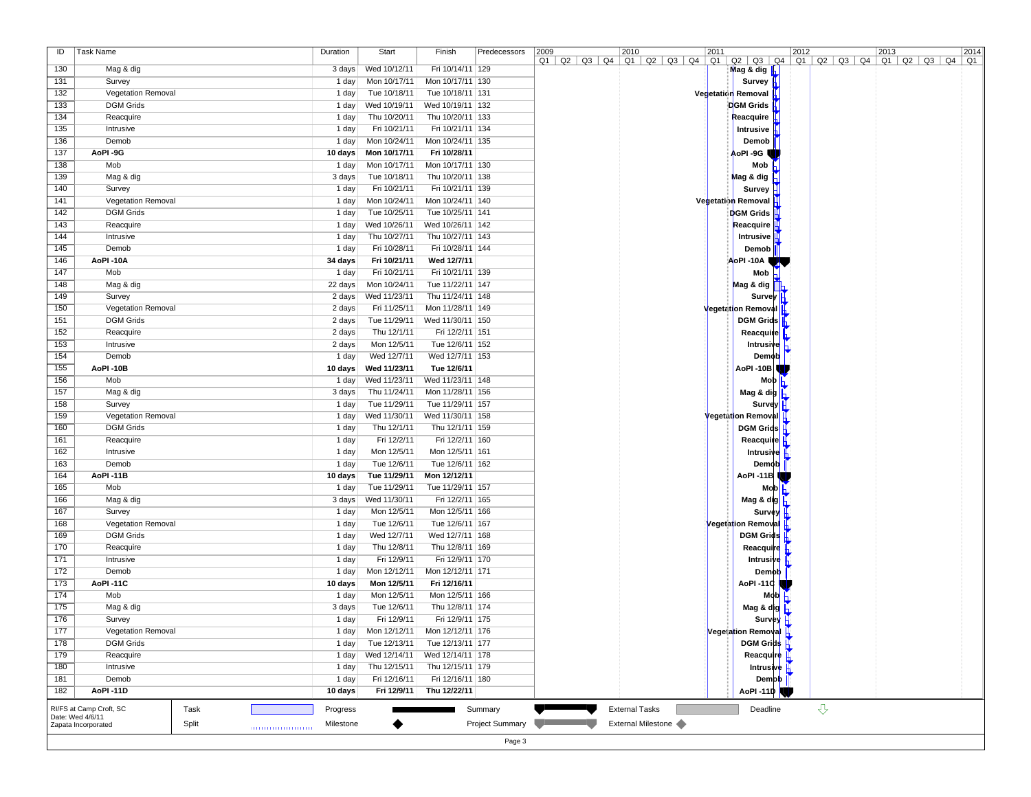| ID  | Task Name                 |       | Duration  | Start        | Finish                            | Predecessors    | 2009                                                                                                                                             | 2010                  | 2011 |                                   | 2012 |                         | 2013 | 2014 |
|-----|---------------------------|-------|-----------|--------------|-----------------------------------|-----------------|--------------------------------------------------------------------------------------------------------------------------------------------------|-----------------------|------|-----------------------------------|------|-------------------------|------|------|
|     |                           |       |           |              |                                   |                 | $Q1$   $Q2$   $Q3$   $Q4$   $Q1$   $Q2$   $Q3$   $Q4$   $Q1$   $Q2$   $Q3$   $Q4$   $Q1$   $Q2$   $Q3$   $Q4$   $Q1$   $Q2$   $Q3$   $Q4$   $Q1$ |                       |      |                                   |      |                         |      |      |
| 130 | Mag & dig                 |       | 3 days    | Wed 10/12/11 | Fri 10/14/11 129                  |                 |                                                                                                                                                  |                       |      | Mag & dig $\frac{1}{2}$           |      |                         |      |      |
| 131 | Survey                    |       | 1 day     | Mon 10/17/11 | Mon 10/17/11   130                |                 |                                                                                                                                                  |                       |      | Survey H                          |      |                         |      |      |
| 132 | Vegetation Removal        |       | 1 day     | Tue 10/18/11 | Tue 10/18/11   131                |                 |                                                                                                                                                  |                       |      | Vegetatien Removal                |      |                         |      |      |
| 133 | <b>DGM Grids</b>          |       | 1 day     | Wed 10/19/11 | Wed 10/19/11   132                |                 |                                                                                                                                                  |                       |      | DGM Grids                         |      |                         |      |      |
| 134 | Reacquire                 |       | 1 day     | Thu 10/20/11 | Thu 10/20/11   133                |                 |                                                                                                                                                  |                       |      | Reacquire                         |      |                         |      |      |
| 135 | Intrusive                 |       | 1 day     | Fri 10/21/11 | Fri 10/21/11 134                  |                 |                                                                                                                                                  |                       |      | Intrusive                         |      |                         |      |      |
| 136 | Demob                     |       | 1 day     | Mon 10/24/11 | Mon 10/24/11   135                |                 |                                                                                                                                                  |                       |      | Demob                             |      |                         |      |      |
| 137 | AoPI-9G                   |       | 10 days   | Mon 10/17/11 | Fri 10/28/11                      |                 |                                                                                                                                                  |                       |      | AoPI -9G                          |      |                         |      |      |
| 138 | Mob                       |       | 1 day     | Mon 10/17/11 | Mon 10/17/11   130                |                 |                                                                                                                                                  |                       |      | Mob                               |      |                         |      |      |
| 139 | Mag & dig                 |       | 3 days    | Tue 10/18/11 | Thu 10/20/11   138                |                 |                                                                                                                                                  |                       |      | Mag & dig $\overline{h}$          |      |                         |      |      |
| 140 | Survey                    |       | 1 day     | Fri 10/21/11 | Fri 10/21/11 139                  |                 |                                                                                                                                                  |                       |      | Survey                            |      |                         |      |      |
| 141 | <b>Vegetation Removal</b> |       | 1 day     | Mon 10/24/11 | Mon 10/24/11 140                  |                 |                                                                                                                                                  |                       |      | Vegetation Removal                |      |                         |      |      |
| 142 | <b>DGM Grids</b>          |       | 1 day     | Tue 10/25/11 | Tue 10/25/11   141                |                 |                                                                                                                                                  |                       |      | <b>DGM Grids</b>                  |      |                         |      |      |
| 143 | Reacquire                 |       | 1 day     | Wed 10/26/11 | Wed 10/26/11   142                |                 |                                                                                                                                                  |                       |      | Reacquire                         |      |                         |      |      |
| 144 | Intrusive                 |       | 1 day     | Thu 10/27/11 | Thu 10/27/11   143                |                 |                                                                                                                                                  |                       |      | Intrusive                         |      |                         |      |      |
| 145 | Demob                     |       | 1 day     | Fri 10/28/11 | Fri 10/28/11 144                  |                 |                                                                                                                                                  |                       |      | Demob                             |      |                         |      |      |
| 146 | AoPI-10A                  |       | 34 days   | Fri 10/21/11 | Wed 12/7/11                       |                 |                                                                                                                                                  |                       |      | AoPI -10A l                       |      |                         |      |      |
| 147 | Mob                       |       | 1 day     | Fri 10/21/11 | Fri 10/21/11 139                  |                 |                                                                                                                                                  |                       |      | Mob                               |      |                         |      |      |
| 148 | Mag & dig                 |       | 22 days   | Mon 10/24/11 | Tue 11/22/11   147                |                 |                                                                                                                                                  |                       |      | Mag & dig                         |      |                         |      |      |
| 149 | Survey                    |       | 2 days    | Wed 11/23/11 | Thu 11/24/11   148                |                 |                                                                                                                                                  |                       |      | Survey   H                        |      |                         |      |      |
| 150 |                           |       |           |              |                                   |                 |                                                                                                                                                  |                       |      | <b>Vegetation Removal</b>         |      |                         |      |      |
|     | <b>Vegetation Removal</b> |       | 2 days    | Fri 11/25/11 | Mon 11/28/11   149                |                 |                                                                                                                                                  |                       |      |                                   |      |                         |      |      |
| 151 | <b>DGM Grids</b>          |       | 2 days    | Tue 11/29/11 | Wed 11/30/11   150                |                 |                                                                                                                                                  |                       |      | <b>DGM Grids</b>                  |      |                         |      |      |
| 152 | Reacquire                 |       | 2 days    | Thu 12/1/11  | Fri 12/2/11 151                   |                 |                                                                                                                                                  |                       |      | Reacquire                         |      |                         |      |      |
| 153 | Intrusive                 |       | 2 days    | Mon 12/5/11  | Tue 12/6/11   152                 |                 |                                                                                                                                                  |                       |      | Intrusive $\mathsf{h}$            |      |                         |      |      |
| 154 | Demob                     |       | 1 day     | Wed 12/7/11  | Wed 12/7/11   153                 |                 |                                                                                                                                                  |                       |      | Demob                             |      |                         |      |      |
| 155 | AoPI-10B                  |       | 10 days   | Wed 11/23/11 | Tue 12/6/11                       |                 |                                                                                                                                                  |                       |      | AoPI -10B                         |      |                         |      |      |
| 156 | Mob                       |       | 1 day     | Wed 11/23/11 | Wed 11/23/11   148                |                 |                                                                                                                                                  |                       |      | Mob                               |      |                         |      |      |
| 157 | Mag & dig                 |       | 3 days    | Thu 11/24/11 | Mon 11/28/11   156                |                 |                                                                                                                                                  |                       |      | Mag & dig $\ $                    |      |                         |      |      |
| 158 | Survey                    |       | 1 day     | Tue 11/29/11 | Tue 11/29/11   157                |                 |                                                                                                                                                  |                       |      | Survey   H                        |      |                         |      |      |
| 159 | Vegetation Removal        |       | 1 day     | Wed 11/30/11 | Wed 11/30/11   158                |                 |                                                                                                                                                  |                       |      | <b>Vegetation Removal</b> H       |      |                         |      |      |
| 160 | <b>DGM Grids</b>          |       | 1 day     | Thu 12/1/11  | Thu 12/1/11 159                   |                 |                                                                                                                                                  |                       |      | DGM Grids $\vert \vert$           |      |                         |      |      |
| 161 | Reacquire                 |       | 1 day     | Fri 12/2/11  | Fri 12/2/11 160                   |                 |                                                                                                                                                  |                       |      | Reacquire H                       |      |                         |      |      |
| 162 | Intrusive                 |       | 1 day     | Mon 12/5/11  | Mon 12/5/11 161                   |                 |                                                                                                                                                  |                       |      | Intrusive                         |      |                         |      |      |
| 163 | Demob                     |       | 1 day     | Tue 12/6/11  | Tue 12/6/11   162                 |                 |                                                                                                                                                  |                       |      | Demob                             |      |                         |      |      |
| 164 | AoPI-11B                  |       | 10 days   | Tue 11/29/11 | Mon 12/12/11                      |                 |                                                                                                                                                  |                       |      | AoPI -11B I                       |      |                         |      |      |
| 165 | Mob                       |       | 1 day     | Tue 11/29/11 | Tue 11/29/11   157                |                 |                                                                                                                                                  |                       |      | Mob                               |      |                         |      |      |
| 166 | Mag & dig                 |       | 3 days    | Wed 11/30/11 | Fri 12/2/11 165                   |                 |                                                                                                                                                  |                       |      | Mag & dig                         |      |                         |      |      |
| 167 | Survey                    |       | 1 day     | Mon 12/5/11  | Mon 12/5/11 166                   |                 |                                                                                                                                                  |                       |      | Survey                            |      |                         |      |      |
| 168 | <b>Vegetation Removal</b> |       | 1 day     | Tue 12/6/11  | Tue 12/6/11   167                 |                 |                                                                                                                                                  |                       |      | Vegetation Removal                |      |                         |      |      |
| 169 | <b>DGM Grids</b>          |       | 1 day     | Wed 12/7/11  | Wed 12/7/11   168                 |                 |                                                                                                                                                  |                       |      | <b>DGM Grids</b>                  |      |                         |      |      |
| 170 | Reacquire                 |       | 1 day     | Thu 12/8/11  | Thu 12/8/11 169                   |                 |                                                                                                                                                  |                       |      | Reacquire                         |      |                         |      |      |
| 171 | Intrusive                 |       | 1 day     | Fri 12/9/11  | Fri 12/9/11   170                 |                 |                                                                                                                                                  |                       |      | Intrusive <u>∦</u>                |      |                         |      |      |
| 172 | Demob                     |       | 1 day     | Mon 12/12/11 | Mon 12/12/11 171                  |                 |                                                                                                                                                  |                       |      | Demob                             |      |                         |      |      |
| 173 | AoPI-11C                  |       | 10 days   | Mon 12/5/11  | Fri 12/16/11                      |                 |                                                                                                                                                  |                       |      | AoPI -110                         |      |                         |      |      |
| 174 | Mob                       |       | 1 day     | Mon 12/5/11  | Mon 12/5/11 166                   |                 |                                                                                                                                                  |                       |      | $M$ <sup>ob</sup>                 |      |                         |      |      |
| 175 | Mag & dig                 |       | 3 days    | Tue 12/6/11  | Thu 12/8/11   174                 |                 |                                                                                                                                                  |                       |      |                                   |      |                         |      |      |
| 176 |                           |       | 1 day     | Fri 12/9/11  | Fri 12/9/11 175                   |                 |                                                                                                                                                  |                       |      | Mag & dig                         |      |                         |      |      |
|     | Survey                    |       |           |              |                                   |                 |                                                                                                                                                  |                       |      | Survey H                          |      |                         |      |      |
| 177 | <b>Vegetation Removal</b> |       | 1 day∣    |              | Mon $12/12/11$ Mon $12/12/11$ 176 |                 |                                                                                                                                                  |                       |      | Vegeta <mark>tion Remova</mark> l |      |                         |      |      |
| 178 | <b>DGM Grids</b>          |       | 1 day     | Tue 12/13/11 | Tue 12/13/11   177                |                 |                                                                                                                                                  |                       |      | DGM Grids H                       |      |                         |      |      |
| 179 | Reacquire                 |       | 1 day     | Wed 12/14/11 | Wed 12/14/11 178                  |                 |                                                                                                                                                  |                       |      | Reacquire H                       |      |                         |      |      |
| 180 | Intrusive                 |       | 1 day     | Thu 12/15/11 | Thu 12/15/11 179                  |                 |                                                                                                                                                  |                       |      | <b>Intrusive</b> <u>I</u>         |      |                         |      |      |
| 181 | Demob                     |       | 1 day     | Fri 12/16/11 | Fri 12/16/11 180                  |                 |                                                                                                                                                  |                       |      | Demot                             |      |                         |      |      |
| 182 | AoPI-11D                  |       | 10 days   | Fri 12/9/11  | Thu 12/22/11                      |                 |                                                                                                                                                  |                       |      | AoPI -11D                         |      |                         |      |      |
|     | RI/FS at Camp Croft, SC   | Task  | Progress  |              |                                   | Summary         |                                                                                                                                                  | <b>External Tasks</b> |      | Deadline                          |      | $\overline{\mathrm{G}}$ |      |      |
|     | Date: Wed 4/6/11          |       |           |              |                                   |                 |                                                                                                                                                  |                       |      |                                   |      |                         |      |      |
|     | Zapata Incorporated       | Split | Milestone | ◆            |                                   | Project Summary |                                                                                                                                                  | External Milestone    |      |                                   |      |                         |      |      |
|     |                           |       |           |              |                                   | Page 3          |                                                                                                                                                  |                       |      |                                   |      |                         |      |      |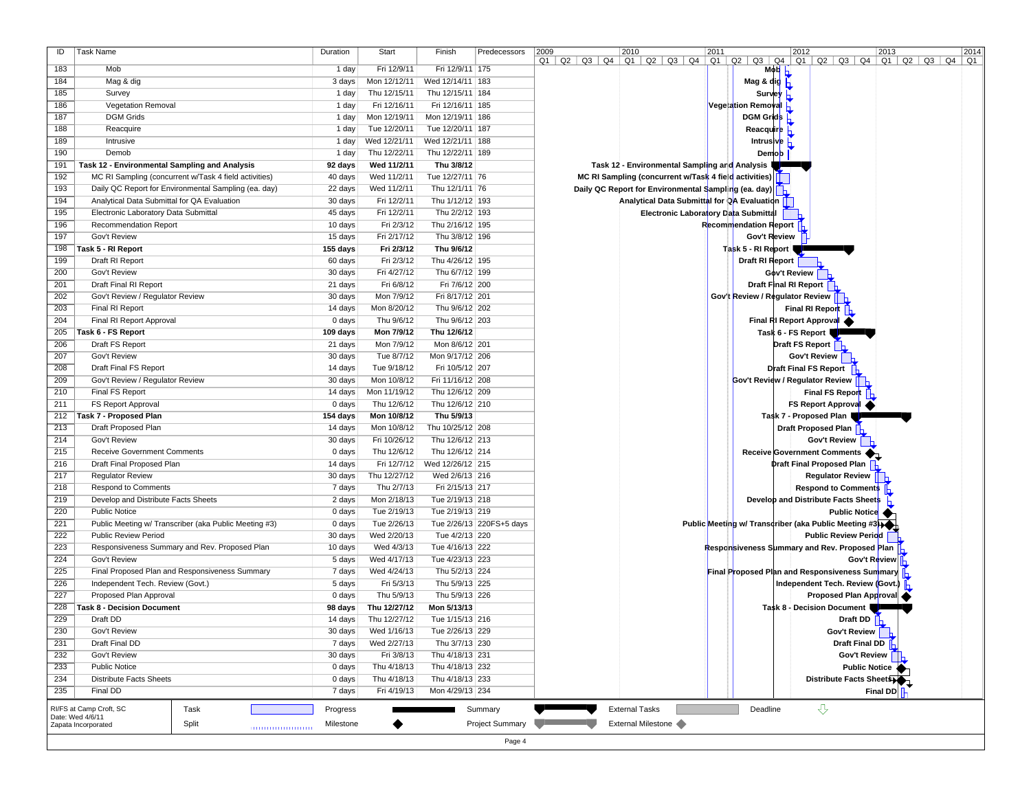| ID  | Task Name                                             | Duration  | Start        | Finish             | Predecessors             | 2009<br>2010<br>2011<br>2012<br> 2014 <br>2013                                                                                                          |
|-----|-------------------------------------------------------|-----------|--------------|--------------------|--------------------------|---------------------------------------------------------------------------------------------------------------------------------------------------------|
| 183 | Mob                                                   | 1 day     | Fri 12/9/11  | Fri 12/9/11 175    |                          | $Q1$   $Q2$   $Q3$   $Q4$   $Q1$   $Q2$   $Q3$   $Q4$   $Q1$   $Q2$   $Q3$   $Q4$   $Q1$   $Q2$   $Q3$   $Q4$   $Q1$   $Q2$   $Q3$   $Q4$   $Q1$<br>Mob |
| 184 | Mag & dig                                             | 3 days    | Mon 12/12/11 | Wed 12/14/11   183 |                          | Mag & dig L                                                                                                                                             |
| 185 | Survey                                                | 1 day     | Thu 12/15/11 | Thu 12/15/11   184 |                          | Survey                                                                                                                                                  |
| 186 | <b>Vegetation Removal</b>                             | 1 day     | Fri 12/16/11 | Fri 12/16/11   185 |                          | Vege ation Removal                                                                                                                                      |
| 187 | <b>DGM Grids</b>                                      | 1 day     | Mon 12/19/11 | Mon 12/19/11 186   |                          | <b>DGM Grids</b>                                                                                                                                        |
| 188 | Reacquire                                             | 1 day     | Tue 12/20/11 | Tue 12/20/11   187 |                          |                                                                                                                                                         |
|     |                                                       |           |              |                    |                          | Reacquire                                                                                                                                               |
| 189 | Intrusive                                             | 1 day     | Wed 12/21/11 | Wed 12/21/11   188 |                          | Intrusive $\mathsf E$                                                                                                                                   |
| 190 | Demob                                                 | 1 day     | Thu 12/22/11 | Thu 12/22/11   189 |                          | Demob                                                                                                                                                   |
| 191 | Task 12 - Environmental Sampling and Analysis         | 92 days   | Wed 11/2/11  | Thu 3/8/12         |                          | Task 12 - Environmental Sampling arid Analysis                                                                                                          |
| 192 | MC RI Sampling (concurrent w/Task 4 field activities) | 40 days   | Wed 11/2/11  | Tue 12/27/11 76    |                          | MC RI Sampling (concurrent w/Task 4 field activities)                                                                                                   |
| 193 | Daily QC Report for Environmental Sampling (ea. day)  | 22 days   | Wed 11/2/11  | Thu 12/1/11 76     |                          | Daily QC Report for Environmental Sampling (ea. day)                                                                                                    |
| 194 | Analytical Data Submittal for QA Evaluation           | 30 days   | Fri 12/2/11  | Thu 1/12/12 193    |                          | Analytical Data Submittal for QA Evaluation                                                                                                             |
| 195 | Electronic Laboratory Data Submittal                  | 45 days   | Fri 12/2/11  | Thu 2/2/12 193     |                          | Electronic Laboratory Data Submittal                                                                                                                    |
| 196 | Recommendation Report                                 | 10 days   | Fri 2/3/12   | Thu 2/16/12   195  |                          | Recommendation Report                                                                                                                                   |
| 197 | Gov't Review                                          | 15 days   | Fri 2/17/12  | Thu 3/8/12   196   |                          | Gov't Review                                                                                                                                            |
| 198 | Task 5 - RI Report                                    | 155 days  | Fri 2/3/12   | Thu 9/6/12         |                          | Task 5 - RI Report                                                                                                                                      |
| 199 | Draft RI Report                                       | 60 days   | Fri 2/3/12   | Thu 4/26/12 195    |                          | Draft RI Report                                                                                                                                         |
| 200 | Gov't Review                                          | 30 days   | Fri 4/27/12  | Thu 6/7/12   199   |                          | Gov't Review                                                                                                                                            |
| 201 | Draft Final RI Report                                 | 21 days   | Fri 6/8/12   | Fri 7/6/12 200     |                          | Draft Final RI Report                                                                                                                                   |
| 202 | Gov't Review / Regulator Review                       | 30 days   | Mon 7/9/12   | Fri 8/17/12 201    |                          | Gov't Review / Regulator Review                                                                                                                         |
| 203 | Final RI Report                                       | 14 days   | Mon 8/20/12  | Thu 9/6/12 202     |                          | Final RI Report                                                                                                                                         |
| 204 | Final RI Report Approval                              | 0 days    | Thu 9/6/12   | Thu 9/6/12 203     |                          | Final RI Report Approval                                                                                                                                |
| 205 | Task 6 - FS Report                                    | 109 days  | Mon 7/9/12   | Thu 12/6/12        |                          | Task 6 - FS Report                                                                                                                                      |
| 206 | Draft FS Report                                       | 21 days   | Mon 7/9/12   | Mon 8/6/12 201     |                          | Draft FS Report                                                                                                                                         |
| 207 | Gov't Review                                          | 30 days   | Tue 8/7/12   | Mon 9/17/12 206    |                          | Gov't Review                                                                                                                                            |
| 208 | Draft Final FS Report                                 | 14 days   | Tue 9/18/12  | Fri 10/5/12 207    |                          | <b>Draft Final FS Report</b>                                                                                                                            |
| 209 | Gov't Review / Regulator Review                       | 30 days   | Mon 10/8/12  | Fri 11/16/12 208   |                          | Gov't Review / Regulator Review                                                                                                                         |
| 210 | Final FS Report                                       | 14 days   | Mon 11/19/12 | Thu 12/6/12 209    |                          | <b>Final FS Report</b>                                                                                                                                  |
| 211 | FS Report Approval                                    | 0 days    | Thu 12/6/12  | Thu 12/6/12 210    |                          | FS Report Approval                                                                                                                                      |
| 212 | Task 7 - Proposed Plan                                | 154 days  | Mon 10/8/12  | Thu 5/9/13         |                          | Task 7 - Proposed Plan                                                                                                                                  |
| 213 | Draft Proposed Plan                                   | 14 days   | Mon 10/8/12  | Thu 10/25/12 208   |                          | <b>Draft Proposed Plan</b>                                                                                                                              |
| 214 | Gov't Review                                          | 30 days   | Fri 10/26/12 | Thu 12/6/12 213    |                          | Gov't Review                                                                                                                                            |
| 215 | <b>Receive Government Comments</b>                    | 0 days    | Thu 12/6/12  | Thu 12/6/12 214    |                          | Receive Government Comments                                                                                                                             |
| 216 | Draft Final Proposed Plan                             | 14 days   | Fri 12/7/12  | Wed 12/26/12 215   |                          | <b>Draft Final Proposed Plan</b>                                                                                                                        |
| 217 | <b>Regulator Review</b>                               | 30 days   | Thu 12/27/12 | Wed 2/6/13 216     |                          | <b>Regulator Review</b>                                                                                                                                 |
| 218 | <b>Respond to Comments</b>                            | 7 days    | Thu 2/7/13   | Fri 2/15/13 217    |                          | <b>Respond to Comments</b>                                                                                                                              |
| 219 | Develop and Distribute Facts Sheets                   | 2 days    | Mon 2/18/13  | Tue 2/19/13 218    |                          | Develop and Distribute Facts Sheets                                                                                                                     |
| 220 | <b>Public Notice</b>                                  | 0 days    | Tue 2/19/13  | Tue 2/19/13 219    |                          | <b>Public Notice</b>                                                                                                                                    |
| 221 | Public Meeting w/ Transcriber (aka Public Meeting #3) | 0 days    | Tue 2/26/13  |                    | Tue 2/26/13 220FS+5 days | Public Meeting w/ Transcriber (aka Public Meeting #3)                                                                                                   |
| 222 | <b>Public Review Period</b>                           | 30 days   | Wed 2/20/13  | Tue 4/2/13 220     |                          | <b>Public Review Period</b>                                                                                                                             |
| 223 | Responsiveness Summary and Rev. Proposed Plan         | 10 days   | Wed 4/3/13   | Tue 4/16/13 222    |                          | Responsiveness Summary and Rev. Proposed Plan                                                                                                           |
| 224 | Gov't Review                                          | 5 days    | Wed 4/17/13  | Tue 4/23/13 223    |                          | Gov't Review                                                                                                                                            |
| 225 | Final Proposed Plan and Responsiveness Summary        | 7 days    | Wed 4/24/13  | Thu 5/2/13 224     |                          | Final Proposed Plan and Responsiveness Summary                                                                                                          |
| 226 | Independent Tech. Review (Govt.)                      | 5 days    | Fri 5/3/13   | Thu 5/9/13 225     |                          | Independent Tech. Review (Govt.)                                                                                                                        |
| 227 | Proposed Plan Approval                                | 0 days    | Thu 5/9/13   | Thu 5/9/13 226     |                          | Proposed Plan Approval                                                                                                                                  |
| 228 | Task 8 - Decision Document                            | 98 days   | Thu 12/27/12 | Mon 5/13/13        |                          | Task 8 - Decision Document                                                                                                                              |
| 229 | Draft DD                                              | 14 days   | Thu 12/27/12 | Tue 1/15/13 216    |                          | Draft DD                                                                                                                                                |
| 230 | Gov't Review                                          | 30 days   | Wed 1/16/13  | Tue 2/26/13 229    |                          | Gov't Review                                                                                                                                            |
| 231 | Draft Final DD                                        | 7 days    | Wed 2/27/13  | Thu 3/7/13 230     |                          | Draft Final DD                                                                                                                                          |
| 232 | Gov't Review                                          | 30 days   | Fri 3/8/13   | Thu 4/18/13 231    |                          | Gov't Review                                                                                                                                            |
| 233 | <b>Public Notice</b>                                  | 0 days    | Thu 4/18/13  | Thu 4/18/13 232    |                          | <b>Public Notice</b>                                                                                                                                    |
| 234 | <b>Distribute Facts Sheets</b>                        | 0 days    | Thu 4/18/13  | Thu 4/18/13 233    |                          | Distribute Facts Sheets                                                                                                                                 |
| 235 | Final DD                                              | 7 days    | Fri 4/19/13  | Mon 4/29/13 234    |                          | <b>Final DD</b>                                                                                                                                         |
|     | Task<br>RI/FS at Camp Croft, SC                       | Progress  |              |                    | Summary                  | $\overline{v}$<br><b>External Tasks</b><br>Deadline                                                                                                     |
|     | Date: Wed 4/6/11<br>Split<br>Zapata Incorporated      | Milestone |              |                    | <b>Project Summary</b>   | External Milestone                                                                                                                                      |
|     |                                                       |           |              |                    |                          |                                                                                                                                                         |
|     |                                                       |           |              |                    | Page 4                   |                                                                                                                                                         |